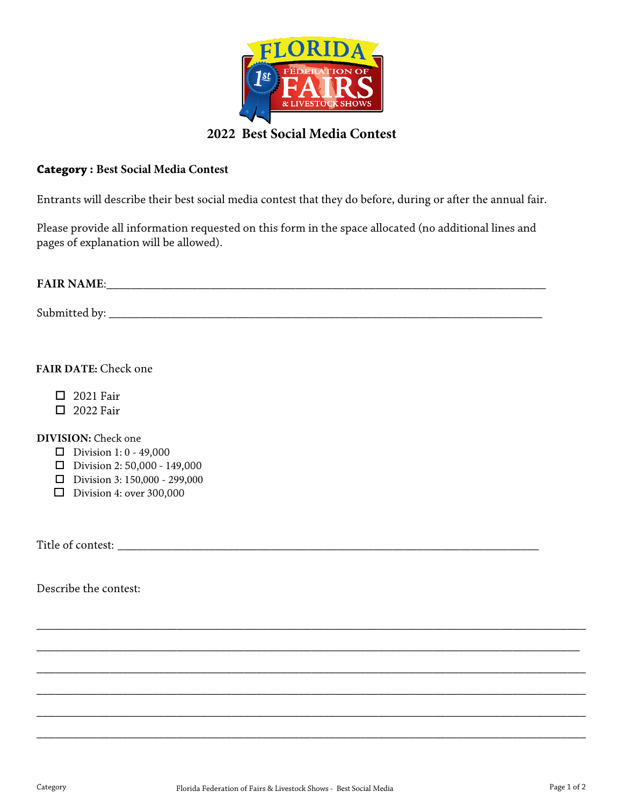

## **2022 Best Social Media Contest**

## **Category : Best Social Media Contest**

Entrants will describe their best social media contest that they do before, during or after the annual fair.

Please provide all information requested on this form in the space allocated (no additional lines and pages of explanation will be allowed).

| <b>FAIR NAME:</b> |  |  |  |
|-------------------|--|--|--|
|                   |  |  |  |
| Submitted by:     |  |  |  |

## **FAIR DATE:** Check one

- 2021 Fair
- **D** 2022 Fair

**DIVISION:** Check one

- **D** Division 1:  $0 49,000$
- $\Box$  Division 2: 50,000 149,000
- $\Box$  Division 3: 150,000 299,000
- $\Box$  Division 4: over 300,000

Title of contest: \_\_\_\_\_\_\_\_\_\_\_\_\_\_\_\_\_\_\_\_\_\_\_\_\_\_\_\_\_\_\_\_\_\_\_\_\_\_\_\_\_\_\_\_\_\_\_\_\_\_\_\_\_\_\_\_\_\_\_\_\_\_\_\_\_\_\_\_\_

Describe the contest:

\_\_\_\_\_\_\_\_\_\_\_\_\_\_\_\_\_\_\_\_\_\_\_\_\_\_\_\_\_\_\_\_\_\_\_\_\_\_\_\_\_\_\_\_\_\_\_\_\_\_\_\_\_\_\_\_\_\_\_\_\_\_\_\_\_\_\_\_\_\_\_\_\_\_\_\_\_\_\_\_\_\_\_\_\_\_\_\_\_\_

\_\_\_\_\_\_\_\_\_\_\_\_\_\_\_\_\_\_\_\_\_\_\_\_\_\_\_\_\_\_\_\_\_\_\_\_\_\_\_\_\_\_\_\_\_\_\_\_\_\_\_\_\_\_\_\_\_\_\_\_\_\_\_\_\_\_\_\_\_\_\_\_\_\_\_\_\_\_\_\_\_\_\_\_\_\_\_\_\_

\_\_\_\_\_\_\_\_\_\_\_\_\_\_\_\_\_\_\_\_\_\_\_\_\_\_\_\_\_\_\_\_\_\_\_\_\_\_\_\_\_\_\_\_\_\_\_\_\_\_\_\_\_\_\_\_\_\_\_\_\_\_\_\_\_\_\_\_\_\_\_\_\_\_\_\_\_\_\_\_\_\_\_\_\_\_\_\_\_\_

\_\_\_\_\_\_\_\_\_\_\_\_\_\_\_\_\_\_\_\_\_\_\_\_\_\_\_\_\_\_\_\_\_\_\_\_\_\_\_\_\_\_\_\_\_\_\_\_\_\_\_\_\_\_\_\_\_\_\_\_\_\_\_\_\_\_\_\_\_\_\_\_\_\_\_\_\_\_\_\_\_\_\_\_\_\_\_\_\_\_

\_\_\_\_\_\_\_\_\_\_\_\_\_\_\_\_\_\_\_\_\_\_\_\_\_\_\_\_\_\_\_\_\_\_\_\_\_\_\_\_\_\_\_\_\_\_\_\_\_\_\_\_\_\_\_\_\_\_\_\_\_\_\_\_\_\_\_\_\_\_\_\_\_\_\_\_\_\_\_\_\_\_\_\_\_\_\_\_\_\_

\_\_\_\_\_\_\_\_\_\_\_\_\_\_\_\_\_\_\_\_\_\_\_\_\_\_\_\_\_\_\_\_\_\_\_\_\_\_\_\_\_\_\_\_\_\_\_\_\_\_\_\_\_\_\_\_\_\_\_\_\_\_\_\_\_\_\_\_\_\_\_\_\_\_\_\_\_\_\_\_\_\_\_\_\_\_\_\_\_\_